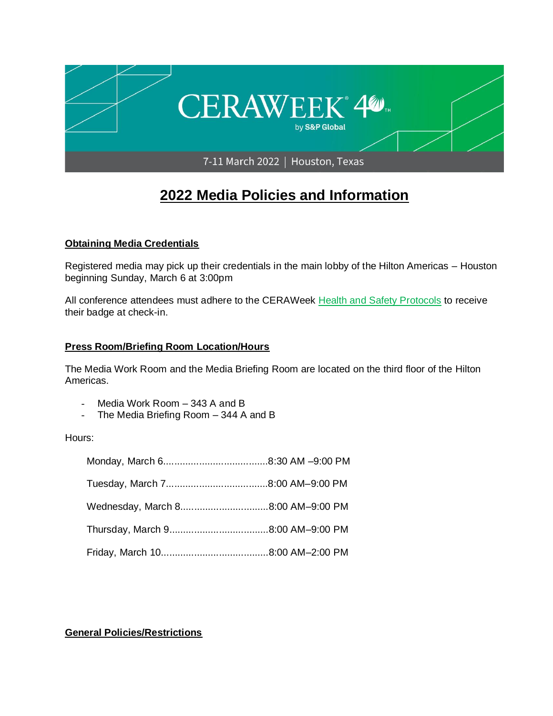

# **2022 Media Policies and Information**

# **Obtaining Media Credentials**

Registered media may pick up their credentials in the main lobby of the Hilton Americas – Houston beginning Sunday, March 6 at 3:00pm

All conference attendees must adhere to the CERAWeek [Health and Safety Protocols](https://ceraweek.com/about/health-and-safety.html) to receive their badge at check-in.

# **Press Room/Briefing Room Location/Hours**

The Media Work Room and the Media Briefing Room are located on the third floor of the Hilton Americas.

- Media Work Room 343 A and B
- The Media Briefing Room 344 A and B

#### Hours:

# **General Policies/Restrictions**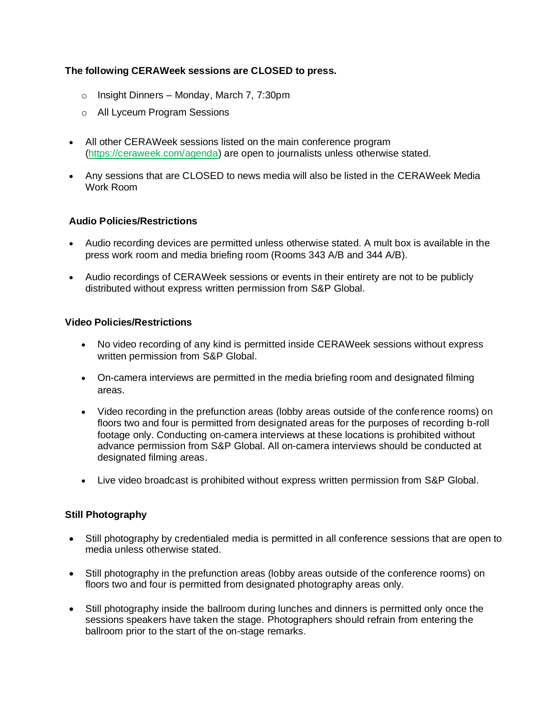# **The following CERAWeek sessions are CLOSED to press.**

- o Insight Dinners Monday, March 7, 7:30pm
- o All Lyceum Program Sessions
- All other CERAWeek sessions listed on the main conference program [\(https://ceraweek.com/agenda\)](https://ceraweek.com/agenda/) are open to journalists unless otherwise stated.
- Any sessions that are CLOSED to news media will also be listed in the CERAWeek Media Work Room

# **Audio Policies/Restrictions**

- Audio recording devices are permitted unless otherwise stated. A mult box is available in the press work room and media briefing room (Rooms 343 A/B and 344 A/B).
- Audio recordings of CERAWeek sessions or events in their entirety are not to be publicly distributed without express written permission from S&P Global.

# **Video Policies/Restrictions**

- No video recording of any kind is permitted inside CERAWeek sessions without express written permission from S&P Global.
- On-camera interviews are permitted in the media briefing room and designated filming areas.
- Video recording in the prefunction areas (lobby areas outside of the conference rooms) on floors two and four is permitted from designated areas for the purposes of recording b-roll footage only. Conducting on-camera interviews at these locations is prohibited without advance permission from S&P Global. All on-camera interviews should be conducted at designated filming areas.
- Live video broadcast is prohibited without express written permission from S&P Global.

# **Still Photography**

- Still photography by credentialed media is permitted in all conference sessions that are open to media unless otherwise stated.
- Still photography in the prefunction areas (lobby areas outside of the conference rooms) on floors two and four is permitted from designated photography areas only.
- Still photography inside the ballroom during lunches and dinners is permitted only once the sessions speakers have taken the stage. Photographers should refrain from entering the ballroom prior to the start of the on-stage remarks.